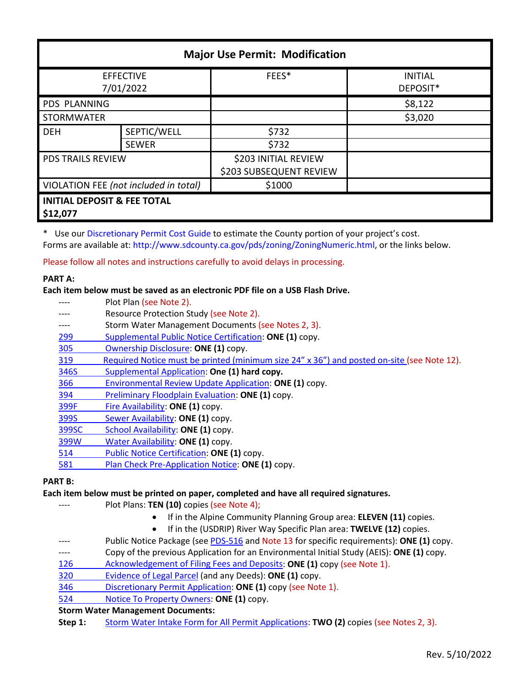| <b>Major Use Permit: Modification</b>              |              |                                                 |                            |  |  |
|----------------------------------------------------|--------------|-------------------------------------------------|----------------------------|--|--|
| <b>EFFECTIVE</b><br>7/01/2022                      |              | FEES*                                           | <b>INITIAL</b><br>DEPOSIT* |  |  |
| <b>PDS PLANNING</b>                                |              |                                                 | \$8,122                    |  |  |
| <b>STORMWATER</b>                                  |              |                                                 | \$3,020                    |  |  |
| <b>DEH</b>                                         | SEPTIC/WELL  | \$732                                           |                            |  |  |
|                                                    | <b>SEWER</b> | \$732                                           |                            |  |  |
| <b>PDS TRAILS REVIEW</b>                           |              | \$203 INITIAL REVIEW<br>\$203 SUBSEQUENT REVIEW |                            |  |  |
| VIOLATION FEE (not included in total)              |              | \$1000                                          |                            |  |  |
| <b>INITIAL DEPOSIT &amp; FEE TOTAL</b><br>\$12,077 |              |                                                 |                            |  |  |

\* Use our [Discretionary Permit Cost Guide](http://www.sandiegocounty.gov/content/dam/sdc/pds/docs/Discretionary_Permit_Cost_Guide.xlsx) to estimate the County portion of your project's cost. Forms are available at: [http://www.sdcounty.ca.gov/pds/zoning/ZoningNumeric.html,](http://www.sdcounty.ca.gov/pds/zoning/ZoningNumeric.html) or the links below.

Please follow all notes and instructions carefully to avoid delays in processing.

### **PART A:**

### **Each item below must be saved as an electronic PDF file on a USB Flash Drive.**

|            | Plot Plan (see Note 2).                                                                    |
|------------|--------------------------------------------------------------------------------------------|
|            | Resource Protection Study (see Note 2).                                                    |
|            | Storm Water Management Documents (see Notes 2, 3).                                         |
| 299        | Supplemental Public Notice Certification: ONE (1) copy.                                    |
| 305        | Ownership Disclosure: ONE (1) copy.                                                        |
| <u>319</u> | Required Notice must be printed (minimum size 24" x 36") and posted on-site (see Note 12). |
| 346S       | Supplemental Application: One (1) hard copy.                                               |
| 366        | Environmental Review Update Application: ONE (1) copy.                                     |
| 394        | Preliminary Floodplain Evaluation: ONE (1) copy.                                           |
| 399F       | Fire Availability: ONE (1) copy.                                                           |
| 399S       | Sewer Availability: ONE (1) copy.                                                          |
| 399SC      | School Availability: ONE (1) copy.                                                         |
| 399W       | Water Availability: ONE (1) copy.                                                          |
| 514        | Public Notice Certification: ONE (1) copy.                                                 |
| 581        | Plan Check Pre-Application Notice: ONE (1) copy.                                           |
| DT D.      |                                                                                            |

## **PART B:**

### **Each item below must be printed on paper, completed and have all required signatures.**

- ---- Plot Plans: **TEN (10)** copies (see Note 4);
	- If in the Alpine Community Planning Group area: **ELEVEN (11)** copies.
	- If in the (USDRIP) River Way Specific Plan area: **TWELVE (12)** copies.
- ---- Public Notice Package (se[e PDS-516 a](http://www.sdcounty.ca.gov/pds/zoning/formfields/PDS-PLN-516.pdf)nd Note 13 for specific requirements): **ONE (1)** copy.
- ---- Copy of the previous Application for an Environmental Initial Study (AEIS): **ONE (1)** copy.
- [126 Acknowledgement of Filing Fees and Deposits:](http://www.sdcounty.ca.gov/pds/zoning/formfields/PDS-PLN-126.pdf) **ONE (1)** copy (see Note 1).
- [320 Evidence of Legal Parcel](http://www.sdcounty.ca.gov/pds/zoning/formfields/PDS-PLN-320.pdf) (and any Deeds): **ONE (1)** copy.
- 346 [Discretionary Permit Application:](http://www.sdcounty.ca.gov/pds/zoning/formfields/PDS-PLN-346.pdf) **ONE (1)** copy (see Note 1).
- 524 [Notice To Property Owners:](http://www.sdcounty.ca.gov/pds/zoning/formfields/PDS-PLN-524.pdf) **ONE (1)** copy.

### **Storm Water Management Documents:**

**Step 1:** [Storm Water Intake Form for All Permit Applications:](http://www.sandiegocounty.gov/content/dam/sdc/pds/zoning/formfields/SWQMP-Intake-Form.pdf) **TWO (2)** copies (see Notes 2, 3).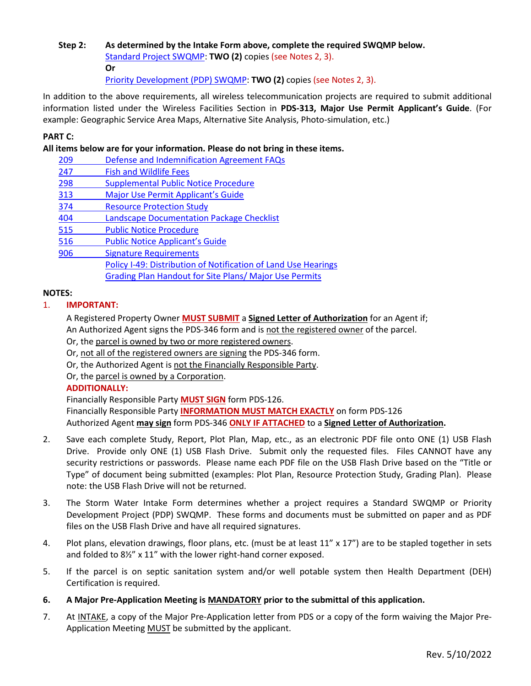# **Step 2: As determined by the Intake Form above, complete the required SWQMP below.** [Standard Project SWQMP:](http://www.sandiegocounty.gov/content/dam/sdc/pds/zoning/formfields/SWQMP-Standard.pdf) **TWO (2)** copies (see Notes 2, 3). **Or**

[Priority Development \(PDP\) SWQMP:](https://www.sandiegocounty.gov/content/sdc/dpw/watersheds/DevelopmentandConstruction/BMP_Design_Manual.html) **TWO (2)** copies (see Notes 2, 3).

In addition to the above requirements, all wireless telecommunication projects are required to submit additional information listed under the Wireless Facilities Section in **PDS-313, Major Use Permit Applicant's Guide**. (For example: Geographic Service Area Maps, Alternative Site Analysis, Photo-simulation, etc.)

### **PART C:**

### **All items below are for your information. Please do not bring in these items.**

- 209 [Defense and Indemnification Agreement FAQs](http://www.sdcounty.ca.gov/pds/zoning/formfields/PDS-PLN-209.pdf)
- [247 Fish and Wildlife Fees](http://www.sdcounty.ca.gov/pds/zoning/formfields/PDS-PLN-247.pdf)
- [298 Supplemental Public Notice Procedure](http://www.sdcounty.ca.gov/pds/zoning/formfields/PDS-PLN-298.pdf)
- [313 Major Use Permit Applicant's Guide](http://www.sdcounty.ca.gov/pds/zoning/formfields/PDS-PLN-313.pdf)
- [374 Resource Protection Study](http://www.sdcounty.ca.gov/pds/zoning/formfields/PDS-PLN-374.pdf)
- [404 Landscape Documentation Package Checklist](http://www.sdcounty.ca.gov/pds/zoning/formfields/PDS-PLN-404.pdf)
- [515 Public Notice Procedure](http://www.sdcounty.ca.gov/pds/zoning/formfields/PDS-PLN-515.pdf)
- [516 Public Notice Applicant's Guide](http://www.sdcounty.ca.gov/pds/zoning/formfields/PDS-PLN-516.pdf)
- [906 Signature](http://www.sdcounty.ca.gov/pds/zoning/formfields/PDS-PLN-906.pdf) Requirements
	- [Policy I-49: Distribution of Notification of Land Use Hearings](http://www.sdcounty.ca.gov/cob/docs/policy/I-49.pdf)
	- [Grading Plan Handout for Site Plans/ Major Use Permits](http://www.sdcounty.ca.gov/pds/zoning/formfields/GradePlanHandoutSitePlanMUP.pdf)

### **NOTES:**

### 1. **IMPORTANT:**

A Registered Property Owner **MUST SUBMIT** a **Signed Letter of Authorization** for an Agent if;

An Authorized Agent signs the PDS-346 form and is not the registered owner of the parcel.

Or, the parcel is owned by two or more registered owners.

- Or, not all of the registered owners are signing the PDS-346 form.
- Or, the Authorized Agent is not the Financially Responsible Party.

Or, the parcel is owned by a Corporation.

### **ADDITIONALLY:**

Financially Responsible Party **MUST SIGN** form PDS-126. Financially Responsible Party **INFORMATION MUST MATCH EXACTLY** on form PDS-126 Authorized Agent **may sign** form PDS-346 **ONLY IF ATTACHED** to a **Signed Letter of Authorization.** 

- 2. Save each complete Study, Report, Plot Plan, Map, etc., as an electronic PDF file onto ONE (1) USB Flash Drive. Provide only ONE (1) USB Flash Drive. Submit only the requested files. Files CANNOT have any security restrictions or passwords. Please name each PDF file on the USB Flash Drive based on the "Title or Type" of document being submitted (examples: Plot Plan, Resource Protection Study, Grading Plan). Please note: the USB Flash Drive will not be returned.
- 3. The Storm Water Intake Form determines whether a project requires a Standard SWQMP or Priority Development Project (PDP) SWQMP. These forms and documents must be submitted on paper and as PDF files on the USB Flash Drive and have all required signatures.
- 4. Plot plans, elevation drawings, floor plans, etc. (must be at least 11" x 17") are to be stapled together in sets and folded to 8½" x 11" with the lower right-hand corner exposed.
- 5. If the parcel is on septic sanitation system and/or well potable system then Health Department (DEH) Certification is required.
- **6. A Major Pre-Application Meeting is MANDATORY prior to the submittal of this application.**
- 7. At INTAKE, a copy of the Major Pre-Application letter from PDS or a copy of the form waiving the Major Pre-Application Meeting MUST be submitted by the applicant.